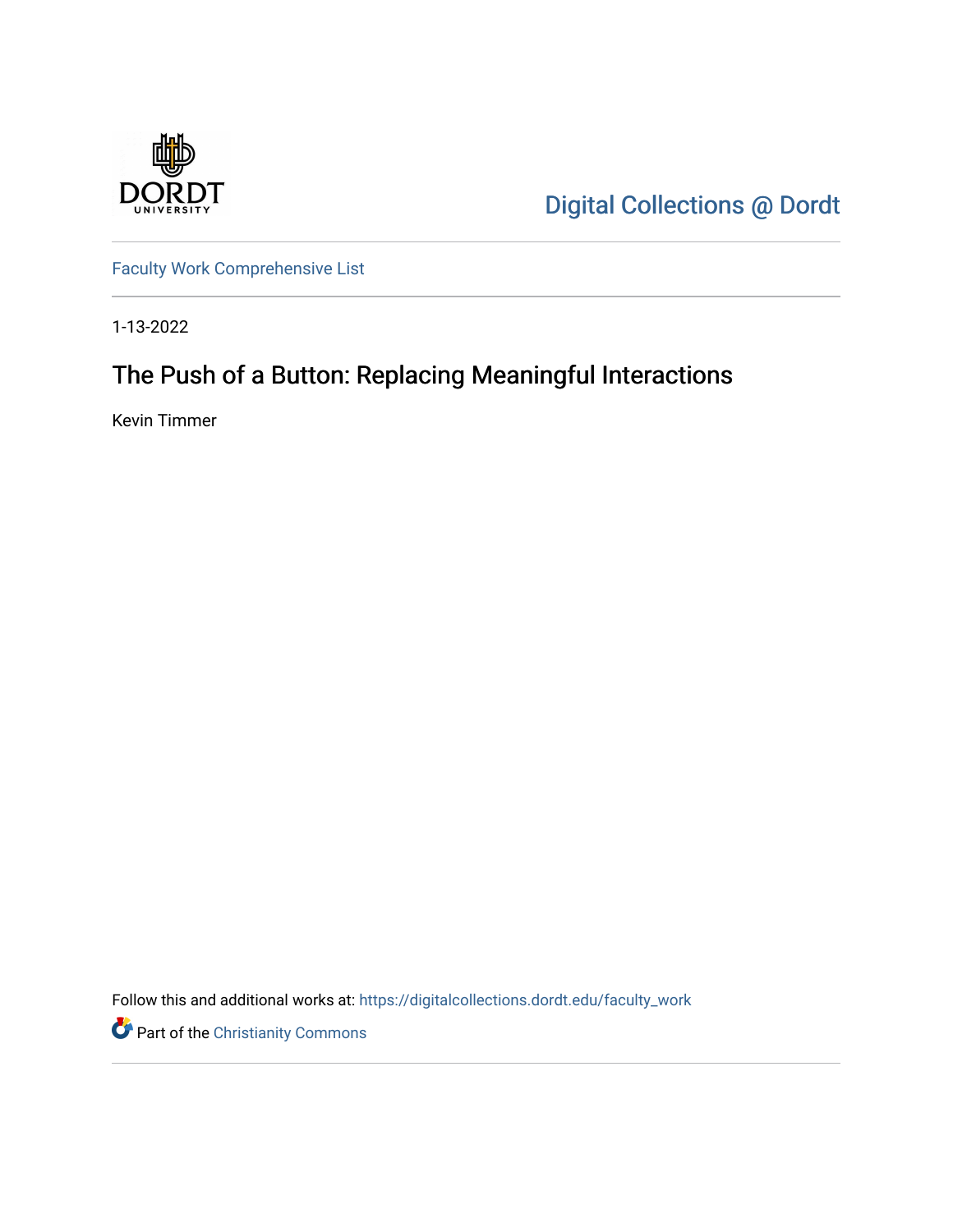

[Digital Collections @ Dordt](https://digitalcollections.dordt.edu/) 

[Faculty Work Comprehensive List](https://digitalcollections.dordt.edu/faculty_work)

1-13-2022

# The Push of a Button: Replacing Meaningful Interactions

Kevin Timmer

Follow this and additional works at: [https://digitalcollections.dordt.edu/faculty\\_work](https://digitalcollections.dordt.edu/faculty_work?utm_source=digitalcollections.dordt.edu%2Ffaculty_work%2F1355&utm_medium=PDF&utm_campaign=PDFCoverPages) 

Part of the [Christianity Commons](http://network.bepress.com/hgg/discipline/1181?utm_source=digitalcollections.dordt.edu%2Ffaculty_work%2F1355&utm_medium=PDF&utm_campaign=PDFCoverPages)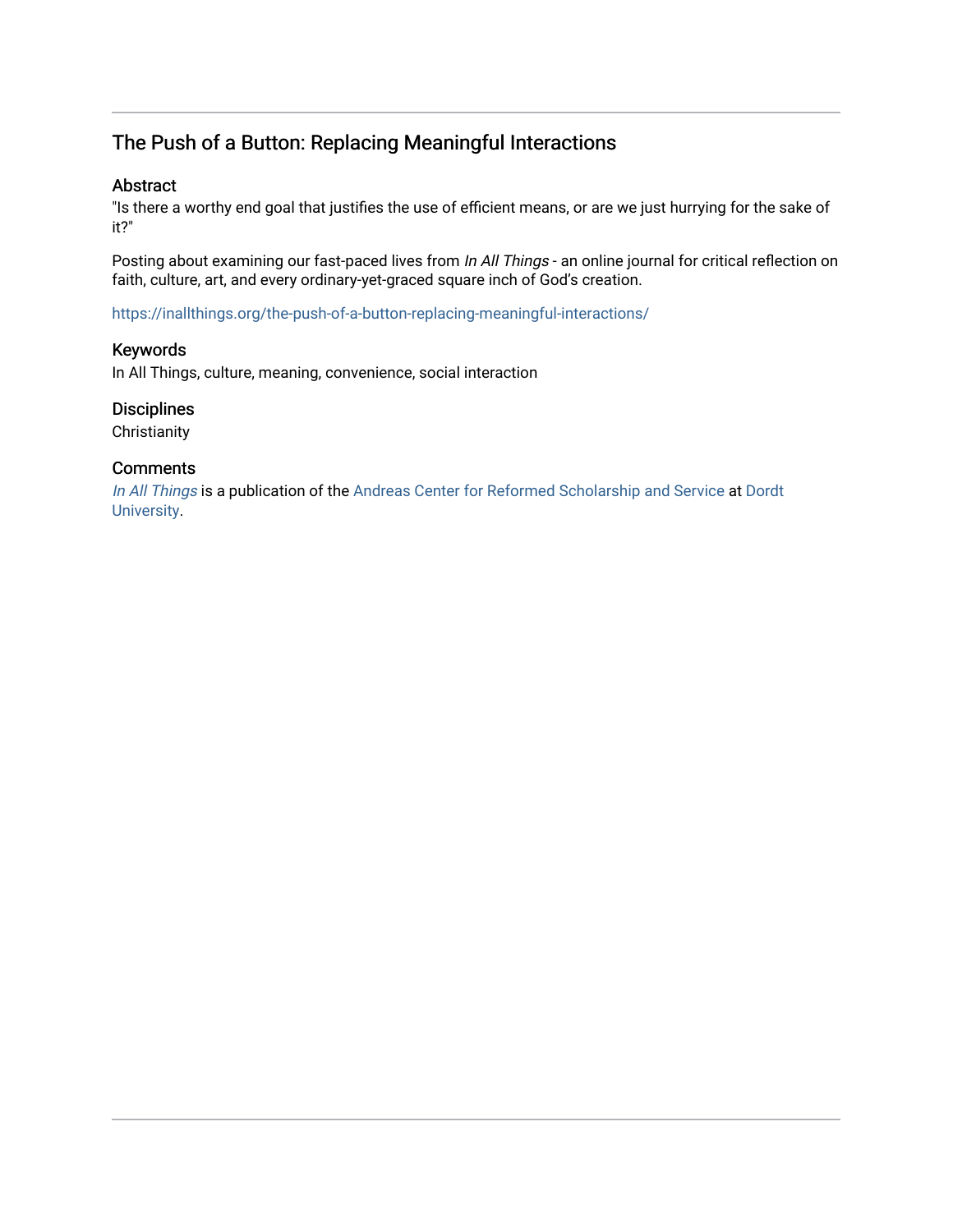# The Push of a Button: Replacing Meaningful Interactions

#### Abstract

"Is there a worthy end goal that justifies the use of efficient means, or are we just hurrying for the sake of it?"

Posting about examining our fast-paced lives from In All Things - an online journal for critical reflection on faith, culture, art, and every ordinary-yet-graced square inch of God's creation.

<https://inallthings.org/the-push-of-a-button-replacing-meaningful-interactions/>

#### Keywords

In All Things, culture, meaning, convenience, social interaction

#### **Disciplines**

**Christianity** 

#### **Comments**

[In All Things](http://inallthings.org/) is a publication of the [Andreas Center for Reformed Scholarship and Service](http://www.dordt.edu/services_support/andreas_center/) at Dordt [University](http://www.dordt.edu/).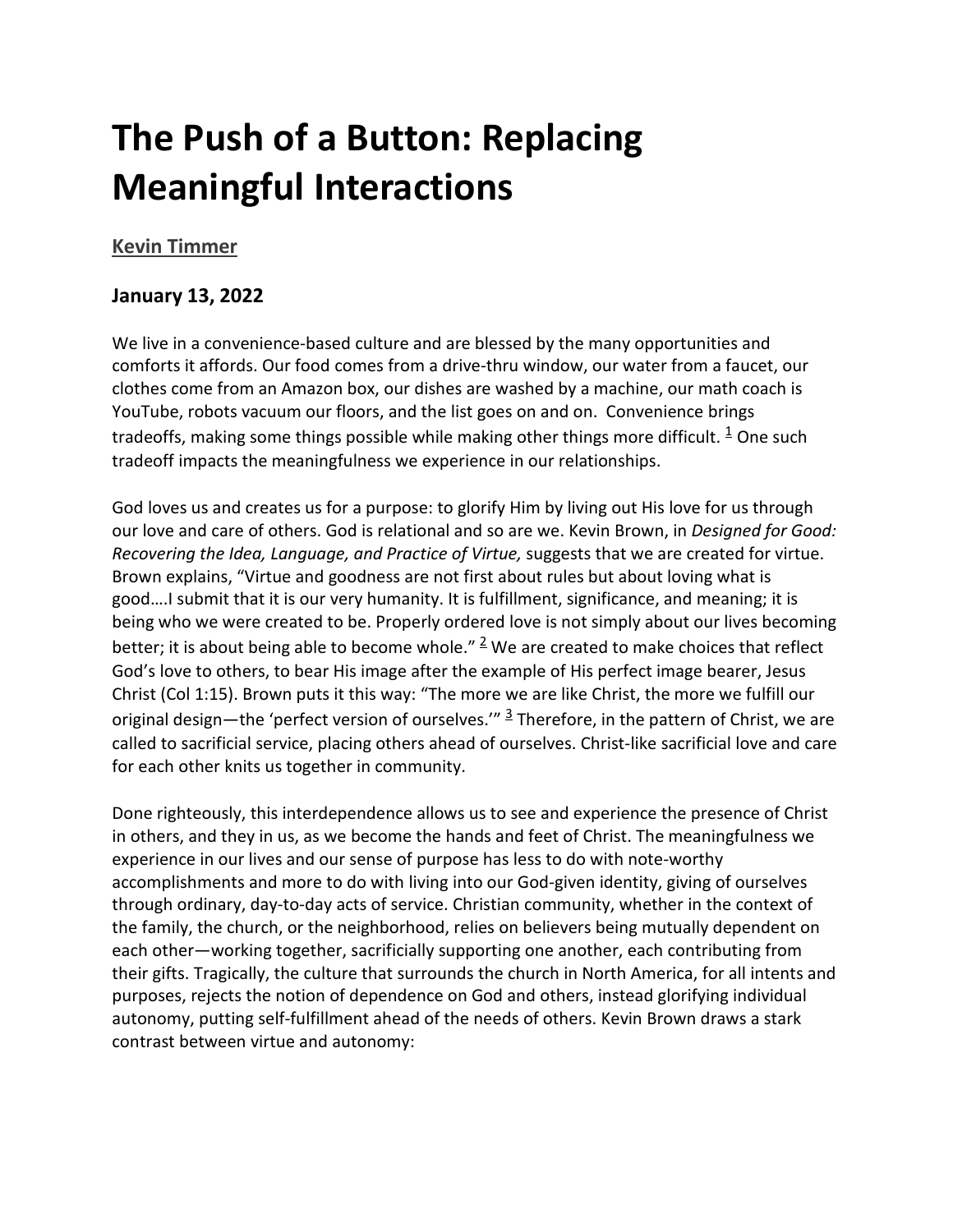# **The Push of a Button: Replacing Meaningful Interactions**

## **[Kevin Timmer](https://inallthings.org/author/kevin-timmer/)**

### **January 13, 2022**

We live in a convenience-based culture and are blessed by the many opportunities and comforts it affords. Our food comes from a drive-thru window, our water from a faucet, our clothes come from an Amazon box, our dishes are washed by a machine, our math coach is YouTube, robots vacuum our floors, and the list goes on and on. Convenience brings tradeoffs, making some things possible while making other things more difficult.  $\frac{1}{2}$  One such tradeoff impacts the meaningfulness we experience in our relationships.

God loves us and creates us for a purpose: to glorify Him by living out His love for us through our love and care of others. God is relational and so are we. Kevin Brown, in *Designed for Good: Recovering the Idea, Language, and Practice of Virtue,* suggests that we are created for virtue. Brown explains, "Virtue and goodness are not first about rules but about loving what is good….I submit that it is our very humanity. It is fulfillment, significance, and meaning; it is being who we were created to be. Properly ordered love is not simply about our lives becoming better; it is about being able to become whole."  $\frac{2}{3}$  We are created to make choices that reflect God's love to others, to bear His image after the example of His perfect image bearer, Jesus Christ (Col 1:15). Brown puts it this way: "The more we are like Christ, the more we fulfill our original design—the 'perfect version of ourselves.'"  $\frac{3}{2}$  Therefore, in the pattern of Christ, we are called to sacrificial service, placing others ahead of ourselves. Christ-like sacrificial love and care for each other knits us together in community.

Done righteously, this interdependence allows us to see and experience the presence of Christ in others, and they in us, as we become the hands and feet of Christ. The meaningfulness we experience in our lives and our sense of purpose has less to do with note-worthy accomplishments and more to do with living into our God-given identity, giving of ourselves through ordinary, day-to-day acts of service. Christian community, whether in the context of the family, the church, or the neighborhood, relies on believers being mutually dependent on each other—working together, sacrificially supporting one another, each contributing from their gifts. Tragically, the culture that surrounds the church in North America, for all intents and purposes, rejects the notion of dependence on God and others, instead glorifying individual autonomy, putting self-fulfillment ahead of the needs of others. Kevin Brown draws a stark contrast between virtue and autonomy: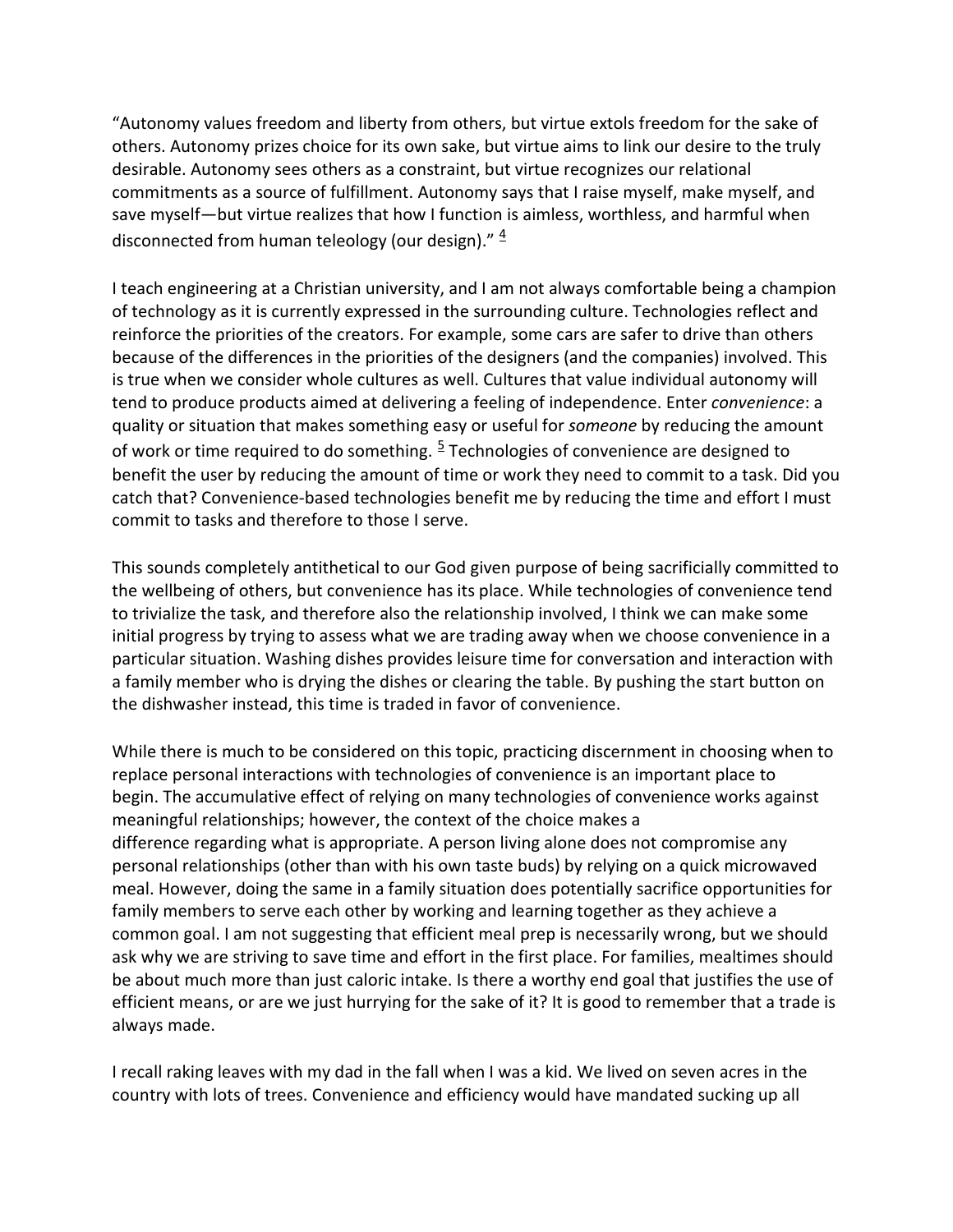"Autonomy values freedom and liberty from others, but virtue extols freedom for the sake of others. Autonomy prizes choice for its own sake, but virtue aims to link our desire to the truly desirable. Autonomy sees others as a constraint, but virtue recognizes our relational commitments as a source of fulfillment. Autonomy says that I raise myself, make myself, and save myself—but virtue realizes that how I function is aimless, worthless, and harmful when disconnected from human teleology (our design)."  $\frac{4}{3}$ 

I teach engineering at a Christian university, and I am not always comfortable being a champion of technology as it is currently expressed in the surrounding culture. Technologies reflect and reinforce the priorities of the creators. For example, some cars are safer to drive than others because of the differences in the priorities of the designers (and the companies) involved. This is true when we consider whole cultures as well. Cultures that value individual autonomy will tend to produce products aimed at delivering a feeling of independence. Enter *convenience*: a quality or situation that makes something easy or useful for *someone* by reducing the amount of work or time required to do something.  $5$  Technologies of convenience are designed to benefit the user by reducing the amount of time or work they need to commit to a task. Did you catch that? Convenience-based technologies benefit me by reducing the time and effort I must commit to tasks and therefore to those I serve.

This sounds completely antithetical to our God given purpose of being sacrificially committed to the wellbeing of others, but convenience has its place. While technologies of convenience tend to trivialize the task, and therefore also the relationship involved, I think we can make some initial progress by trying to assess what we are trading away when we choose convenience in a particular situation. Washing dishes provides leisure time for conversation and interaction with a family member who is drying the dishes or clearing the table. By pushing the start button on the dishwasher instead, this time is traded in favor of convenience.

While there is much to be considered on this topic, practicing discernment in choosing when to replace personal interactions with technologies of convenience is an important place to begin. The accumulative effect of relying on many technologies of convenience works against meaningful relationships; however, the context of the choice makes a difference regarding what is appropriate. A person living alone does not compromise any personal relationships (other than with his own taste buds) by relying on a quick microwaved meal. However, doing the same in a family situation does potentially sacrifice opportunities for family members to serve each other by working and learning together as they achieve a common goal. I am not suggesting that efficient meal prep is necessarily wrong, but we should ask why we are striving to save time and effort in the first place. For families, mealtimes should be about much more than just caloric intake. Is there a worthy end goal that justifies the use of efficient means, or are we just hurrying for the sake of it? It is good to remember that a trade is always made.

I recall raking leaves with my dad in the fall when I was a kid. We lived on seven acres in the country with lots of trees. Convenience and efficiency would have mandated sucking up all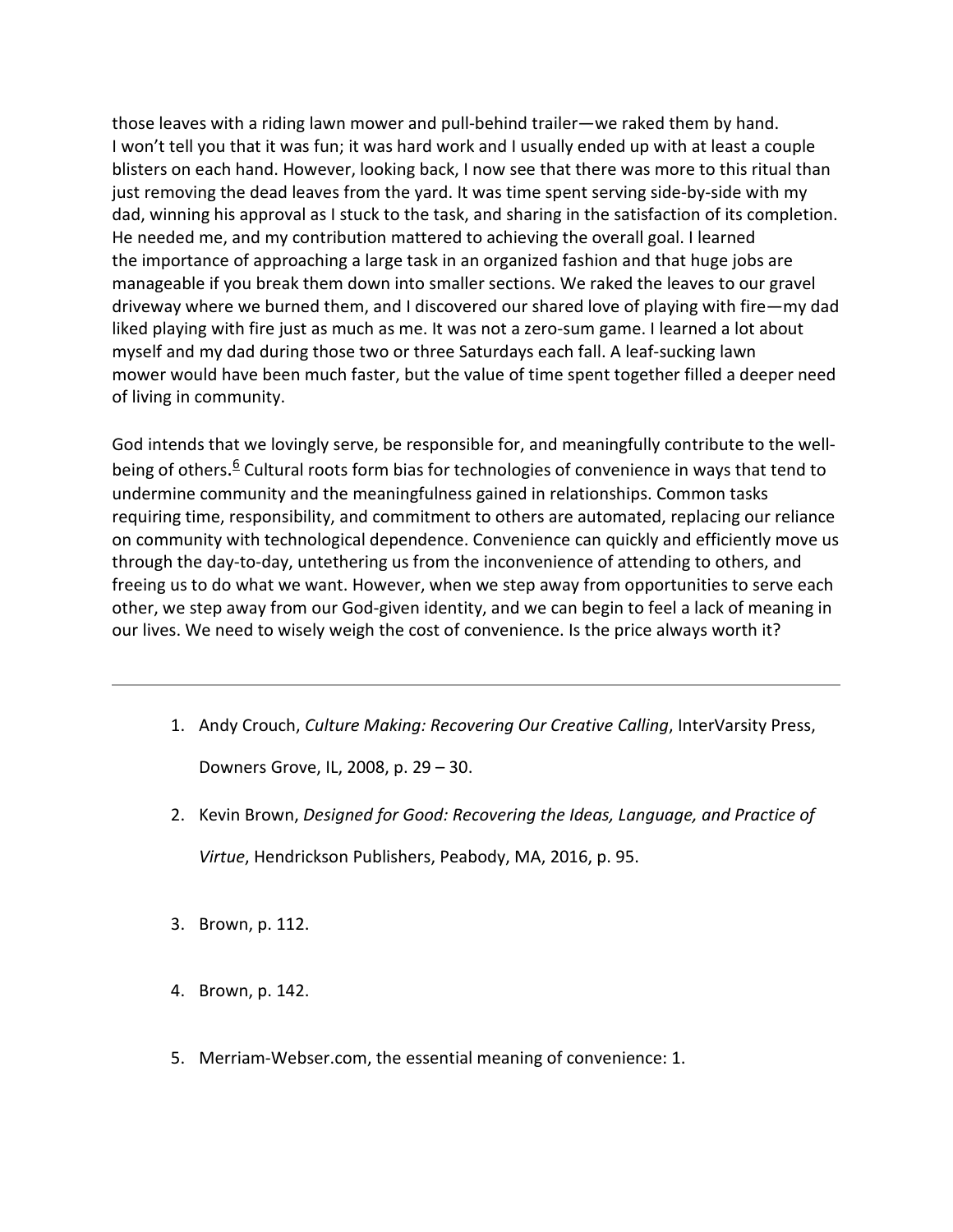those leaves with a riding lawn mower and pull-behind trailer—we raked them by hand. I won't tell you that it was fun; it was hard work and I usually ended up with at least a couple blisters on each hand. However, looking back, I now see that there was more to this ritual than just removing the dead leaves from the yard. It was time spent serving side-by-side with my dad, winning his approval as I stuck to the task, and sharing in the satisfaction of its completion. He needed me, and my contribution mattered to achieving the overall goal. I learned the importance of approaching a large task in an organized fashion and that huge jobs are manageable if you break them down into smaller sections. We raked the leaves to our gravel driveway where we burned them, and I discovered our shared love of playing with fire—my dad liked playing with fire just as much as me. It was not a zero-sum game. I learned a lot about myself and my dad during those two or three Saturdays each fall. A leaf-sucking lawn mower would have been much faster, but the value of time spent together filled a deeper need of living in community.

God intends that we lovingly serve, be responsible for, and meaningfully contribute to the wellbeing of others.<sup>6</sup> Cultural roots form bias for technologies of convenience in ways that tend to undermine community and the meaningfulness gained in relationships. Common tasks requiring time, responsibility, and commitment to others are automated, replacing our reliance on community with technological dependence. Convenience can quickly and efficiently move us through the day-to-day, untethering us from the inconvenience of attending to others, and freeing us to do what we want. However, when we step away from opportunities to serve each other, we step away from our God-given identity, and we can begin to feel a lack of meaning in our lives. We need to wisely weigh the cost of convenience. Is the price always worth it?

1. Andy Crouch, *Culture Making: Recovering Our Creative Calling*, InterVarsity Press,

Downers Grove, IL, 2008, p. 29 – 30.

- 2. Kevin Brown, *Designed for Good: Recovering the Ideas, Language, and Practice of Virtue*, Hendrickson Publishers, Peabody, MA, 2016, p. 95.
- 3. Brown, p. 112.
- 4. Brown, p. 142.
- 5. Merriam-Webser.com, the essential meaning of convenience: 1.